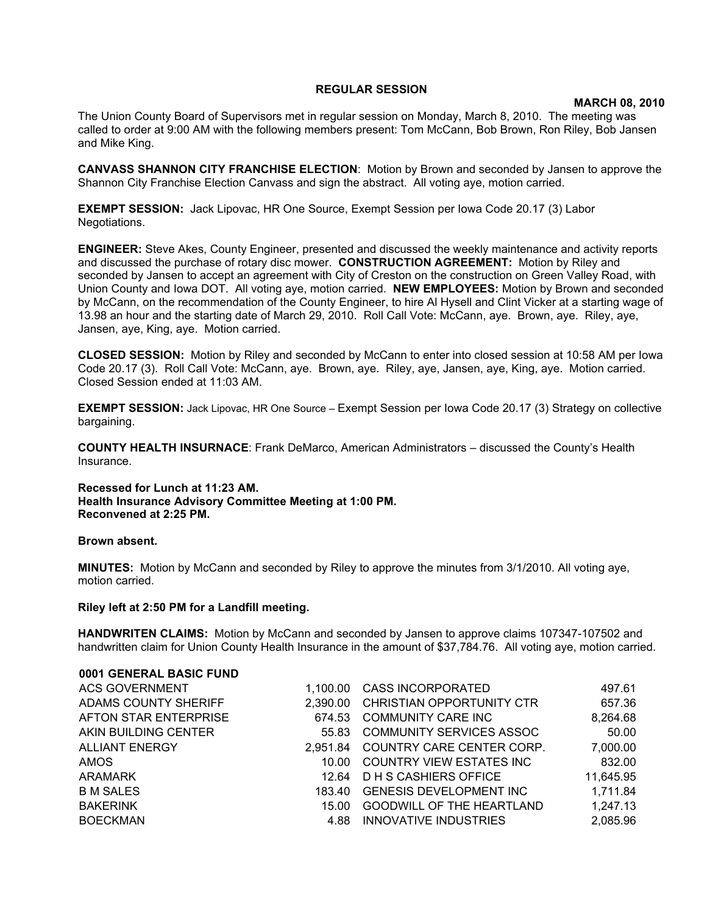## **REGULAR SESSION**

## **MARCH 08, 2010**

The Union County Board of Supervisors met in regular session on Monday, March 8, 2010. The meeting was called to order at 9:00 AM with the following members present: Tom McCann, Bob Brown, Ron Riley, Bob Jansen and Mike King.

**CANVASS SHANNON CITY FRANCHISE ELECTION**: Motion by Brown and seconded by Jansen to approve the Shannon City Franchise Election Canvass and sign the abstract. All voting aye, motion carried.

**EXEMPT SESSION:** Jack Lipovac, HR One Source, Exempt Session per Iowa Code 20.17 (3) Labor Negotiations.

**ENGINEER:** Steve Akes, County Engineer, presented and discussed the weekly maintenance and activity reports and discussed the purchase of rotary disc mower. **CONSTRUCTION AGREEMENT:** Motion by Riley and seconded by Jansen to accept an agreement with City of Creston on the construction on Green Valley Road, with Union County and Iowa DOT. All voting aye, motion carried. **NEW EMPLOYEES:** Motion by Brown and seconded by McCann, on the recommendation of the County Engineer, to hire Al Hysell and Clint Vicker at a starting wage of 13.98 an hour and the starting date of March 29, 2010. Roll Call Vote: McCann, aye. Brown, aye. Riley, aye, Jansen, aye, King, aye. Motion carried.

**CLOSED SESSION:** Motion by Riley and seconded by McCann to enter into closed session at 10:58 AM per Iowa Code 20.17 (3).Roll Call Vote: McCann, aye. Brown, aye. Riley, aye, Jansen, aye, King, aye. Motion carried. Closed Session ended at 11:03 AM.

**EXEMPT SESSION:** Jack Lipovac, HR One Source – Exempt Session per Iowa Code 20.17 (3) Strategy on collective bargaining.

**COUNTY HEALTH INSURNACE**: Frank DeMarco, American Administrators – discussed the County's Health Insurance.

**Recessed for Lunch at 11:23 AM. Health Insurance Advisory Committee Meeting at 1:00 PM. Reconvened at 2:25 PM.** 

## **Brown absent.**

**MINUTES:** Motion by McCann and seconded by Riley to approve the minutes from 3/1/2010. All voting aye, motion carried.

## **Riley left at 2:50 PM for a Landfill meeting.**

**0001 GENERAL BASIC FUND**

**HANDWRITEN CLAIMS:** Motion by McCann and seconded by Jansen to approve claims 107347-107502 and handwritten claim for Union County Health Insurance in the amount of \$37,784.76. All voting aye, motion carried.

| 0001 GENERAL BASIC FUND |          |                                  |           |
|-------------------------|----------|----------------------------------|-----------|
| <b>ACS GOVERNMENT</b>   | 1.100.00 | <b>CASS INCORPORATED</b>         | 497.61    |
| ADAMS COUNTY SHERIFF    | 2.390.00 | CHRISTIAN OPPORTUNITY CTR        | 657.36    |
| AFTON STAR ENTERPRISE   | 674.53   | COMMUNITY CARE INC               | 8,264.68  |
| AKIN BUILDING CENTER    | 55.83    | COMMUNITY SERVICES ASSOC         | 50.00     |
| <b>ALLIANT ENERGY</b>   | 2.951.84 | COUNTRY CARE CENTER CORP.        | 7,000.00  |
| AMOS                    | 10.00    | COUNTRY VIEW ESTATES INC         | 832.00    |
| ARAMARK                 | 12.64    | D H S CASHIERS OFFICE            | 11,645.95 |
| <b>B M SALES</b>        | 183.40   | <b>GENESIS DEVELOPMENT INC</b>   | 1,711.84  |
| <b>BAKERINK</b>         | 15.00    | <b>GOODWILL OF THE HEARTLAND</b> | 1,247.13  |
| <b>BOECKMAN</b>         | 4.88     | INNOVATIVE INDUSTRIES            | 2,085.96  |
|                         |          |                                  |           |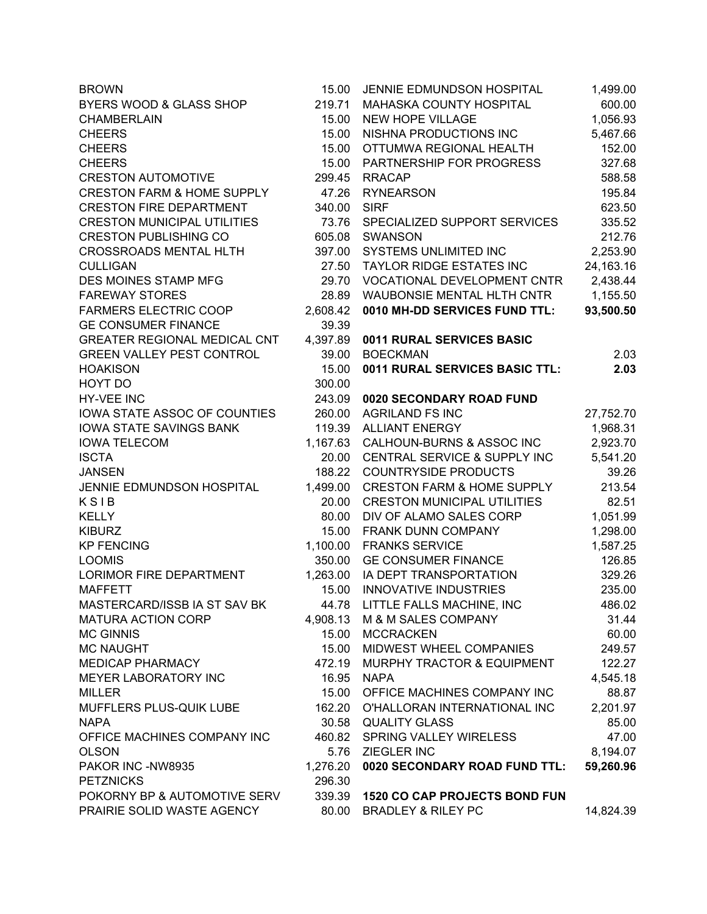| <b>BROWN</b>                          | 15.00    | JENNIE EDMUNDSON HOSPITAL             | 1,499.00  |
|---------------------------------------|----------|---------------------------------------|-----------|
| BYERS WOOD & GLASS SHOP               | 219.71   | MAHASKA COUNTY HOSPITAL               | 600.00    |
| <b>CHAMBERLAIN</b>                    | 15.00    | <b>NEW HOPE VILLAGE</b>               | 1,056.93  |
| <b>CHEERS</b>                         | 15.00    | NISHNA PRODUCTIONS INC                | 5,467.66  |
| <b>CHEERS</b>                         | 15.00    | OTTUMWA REGIONAL HEALTH               | 152.00    |
| <b>CHEERS</b>                         | 15.00    | PARTNERSHIP FOR PROGRESS              | 327.68    |
| <b>CRESTON AUTOMOTIVE</b>             | 299.45   | <b>RRACAP</b>                         | 588.58    |
| <b>CRESTON FARM &amp; HOME SUPPLY</b> | 47.26    | <b>RYNEARSON</b>                      | 195.84    |
| <b>CRESTON FIRE DEPARTMENT</b>        | 340.00   | <b>SIRF</b>                           | 623.50    |
| <b>CRESTON MUNICIPAL UTILITIES</b>    | 73.76    | SPECIALIZED SUPPORT SERVICES          | 335.52    |
| <b>CRESTON PUBLISHING CO</b>          | 605.08   | <b>SWANSON</b>                        | 212.76    |
| <b>CROSSROADS MENTAL HLTH</b>         | 397.00   | SYSTEMS UNLIMITED INC                 | 2,253.90  |
| <b>CULLIGAN</b>                       | 27.50    | TAYLOR RIDGE ESTATES INC              | 24,163.16 |
| DES MOINES STAMP MFG                  | 29.70    | <b>VOCATIONAL DEVELOPMENT CNTR</b>    | 2,438.44  |
| <b>FAREWAY STORES</b>                 | 28.89    | <b>WAUBONSIE MENTAL HLTH CNTR</b>     | 1,155.50  |
| <b>FARMERS ELECTRIC COOP</b>          | 2,608.42 | 0010 MH-DD SERVICES FUND TTL:         | 93,500.50 |
| <b>GE CONSUMER FINANCE</b>            | 39.39    |                                       |           |
| <b>GREATER REGIONAL MEDICAL CNT</b>   | 4,397.89 | 0011 RURAL SERVICES BASIC             |           |
| <b>GREEN VALLEY PEST CONTROL</b>      | 39.00    | <b>BOECKMAN</b>                       | 2.03      |
| <b>HOAKISON</b>                       | 15.00    | 0011 RURAL SERVICES BASIC TTL:        | 2.03      |
| HOYT DO                               | 300.00   |                                       |           |
| <b>HY-VEE INC</b>                     | 243.09   | 0020 SECONDARY ROAD FUND              |           |
| IOWA STATE ASSOC OF COUNTIES          | 260.00   | <b>AGRILAND FS INC</b>                | 27,752.70 |
| <b>IOWA STATE SAVINGS BANK</b>        | 119.39   | <b>ALLIANT ENERGY</b>                 | 1,968.31  |
| <b>IOWA TELECOM</b>                   | 1,167.63 | CALHOUN-BURNS & ASSOC INC             | 2,923.70  |
| <b>ISCTA</b>                          | 20.00    | CENTRAL SERVICE & SUPPLY INC          | 5,541.20  |
| <b>JANSEN</b>                         | 188.22   | <b>COUNTRYSIDE PRODUCTS</b>           | 39.26     |
| JENNIE EDMUNDSON HOSPITAL             | 1,499.00 | <b>CRESTON FARM &amp; HOME SUPPLY</b> | 213.54    |
| KSIB                                  | 20.00    | <b>CRESTON MUNICIPAL UTILITIES</b>    | 82.51     |
| <b>KELLY</b>                          | 80.00    | DIV OF ALAMO SALES CORP               | 1,051.99  |
| <b>KIBURZ</b>                         | 15.00    | FRANK DUNN COMPANY                    | 1,298.00  |
| <b>KP FENCING</b>                     | 1,100.00 | <b>FRANKS SERVICE</b>                 | 1,587.25  |
| <b>LOOMIS</b>                         | 350.00   | <b>GE CONSUMER FINANCE</b>            | 126.85    |
| <b>LORIMOR FIRE DEPARTMENT</b>        | 1,263.00 | IA DEPT TRANSPORTATION                | 329.26    |
| <b>MAFFETT</b>                        | 15.00    | <b>INNOVATIVE INDUSTRIES</b>          | 235.00    |
| MASTERCARD/ISSB IA ST SAV BK          | 44.78    | LITTLE FALLS MACHINE, INC             | 486.02    |
| <b>MATURA ACTION CORP</b>             | 4,908.13 | M & M SALES COMPANY                   | 31.44     |
| <b>MC GINNIS</b>                      | 15.00    | <b>MCCRACKEN</b>                      | 60.00     |
| <b>MC NAUGHT</b>                      | 15.00    | MIDWEST WHEEL COMPANIES               | 249.57    |
| <b>MEDICAP PHARMACY</b>               | 472.19   | MURPHY TRACTOR & EQUIPMENT            | 122.27    |
| MEYER LABORATORY INC                  | 16.95    | <b>NAPA</b>                           | 4,545.18  |
| <b>MILLER</b>                         | 15.00    | OFFICE MACHINES COMPANY INC           | 88.87     |
| MUFFLERS PLUS-QUIK LUBE               | 162.20   | O'HALLORAN INTERNATIONAL INC          | 2,201.97  |
| <b>NAPA</b>                           | 30.58    | <b>QUALITY GLASS</b>                  | 85.00     |
| OFFICE MACHINES COMPANY INC           | 460.82   | SPRING VALLEY WIRELESS                | 47.00     |
| <b>OLSON</b>                          | 5.76     | ZIEGLER INC                           | 8,194.07  |
| PAKOR INC -NW8935                     | 1,276.20 | 0020 SECONDARY ROAD FUND TTL:         | 59,260.96 |
| <b>PETZNICKS</b>                      | 296.30   |                                       |           |
| POKORNY BP & AUTOMOTIVE SERV          | 339.39   | <b>1520 CO CAP PROJECTS BOND FUN</b>  |           |
| PRAIRIE SOLID WASTE AGENCY            | 80.00    | <b>BRADLEY &amp; RILEY PC</b>         | 14,824.39 |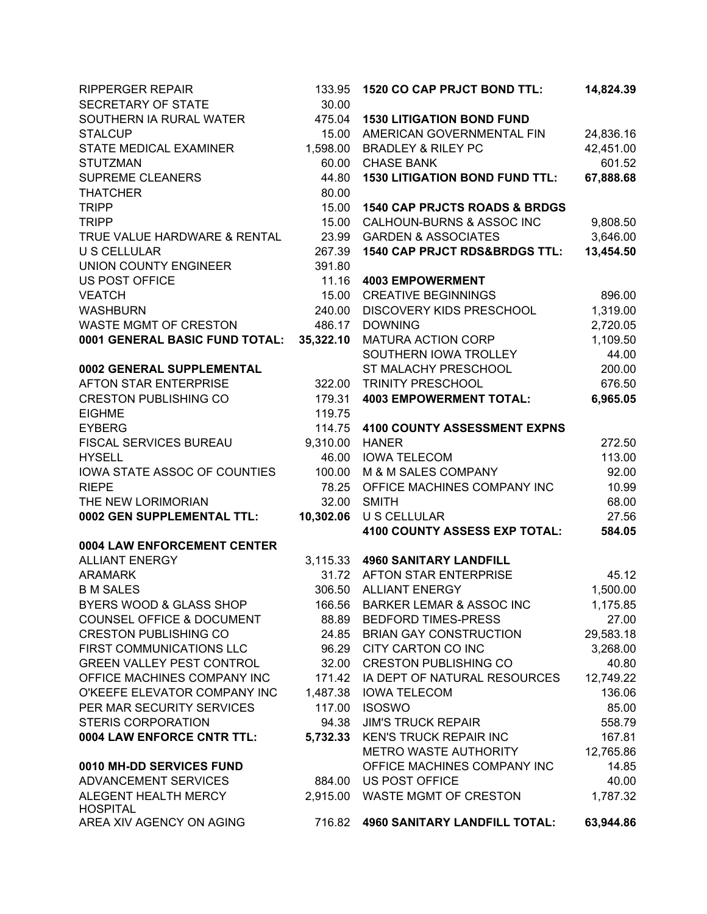| <b>RIPPERGER REPAIR</b><br>SECRETARY OF STATE             | 133.95<br>30.00 | <b>1520 CO CAP PRJCT BOND TTL:</b>       | 14,824.39 |
|-----------------------------------------------------------|-----------------|------------------------------------------|-----------|
| SOUTHERN IA RURAL WATER                                   | 475.04          | <b>1530 LITIGATION BOND FUND</b>         |           |
| <b>STALCUP</b>                                            | 15.00           | AMERICAN GOVERNMENTAL FIN                | 24,836.16 |
| STATE MEDICAL EXAMINER                                    | 1,598.00        | <b>BRADLEY &amp; RILEY PC</b>            | 42,451.00 |
| <b>STUTZMAN</b>                                           | 60.00           | <b>CHASE BANK</b>                        | 601.52    |
| <b>SUPREME CLEANERS</b>                                   | 44.80           | <b>1530 LITIGATION BOND FUND TTL:</b>    | 67,888.68 |
| <b>THATCHER</b>                                           | 80.00           |                                          |           |
| <b>TRIPP</b>                                              | 15.00           | <b>1540 CAP PRJCTS ROADS &amp; BRDGS</b> |           |
| <b>TRIPP</b>                                              | 15.00           | CALHOUN-BURNS & ASSOC INC                | 9,808.50  |
| TRUE VALUE HARDWARE & RENTAL                              | 23.99           | <b>GARDEN &amp; ASSOCIATES</b>           | 3,646.00  |
| <b>U S CELLULAR</b>                                       | 267.39          | 1540 CAP PRJCT RDS&BRDGS TTL:            | 13,454.50 |
| UNION COUNTY ENGINEER                                     | 391.80          |                                          |           |
| <b>US POST OFFICE</b>                                     | 11.16           | <b>4003 EMPOWERMENT</b>                  |           |
| <b>VEATCH</b>                                             | 15.00           | <b>CREATIVE BEGINNINGS</b>               | 896.00    |
| <b>WASHBURN</b>                                           | 240.00          | DISCOVERY KIDS PRESCHOOL                 | 1,319.00  |
| <b>WASTE MGMT OF CRESTON</b>                              | 486.17          | <b>DOWNING</b>                           | 2,720.05  |
| 0001 GENERAL BASIC FUND TOTAL:                            | 35,322.10       | MATURA ACTION CORP                       | 1,109.50  |
|                                                           |                 | SOUTHERN IOWA TROLLEY                    | 44.00     |
| 0002 GENERAL SUPPLEMENTAL                                 |                 | ST MALACHY PRESCHOOL                     | 200.00    |
| AFTON STAR ENTERPRISE                                     | 322.00          | <b>TRINITY PRESCHOOL</b>                 | 676.50    |
| <b>CRESTON PUBLISHING CO</b>                              | 179.31          | <b>4003 EMPOWERMENT TOTAL:</b>           | 6,965.05  |
| <b>EIGHME</b>                                             | 119.75          |                                          |           |
| <b>EYBERG</b>                                             | 114.75          | <b>4100 COUNTY ASSESSMENT EXPNS</b>      |           |
| FISCAL SERVICES BUREAU                                    | 9,310.00        | <b>HANER</b>                             | 272.50    |
| <b>HYSELL</b>                                             | 46.00           | <b>IOWA TELECOM</b>                      | 113.00    |
| IOWA STATE ASSOC OF COUNTIES                              | 100.00          | M & M SALES COMPANY                      | 92.00     |
| <b>RIEPE</b>                                              | 78.25           | OFFICE MACHINES COMPANY INC              | 10.99     |
| THE NEW LORIMORIAN                                        | 32.00           | <b>SMITH</b>                             | 68.00     |
| 0002 GEN SUPPLEMENTAL TTL:                                | 10,302.06       | <b>U S CELLULAR</b>                      | 27.56     |
|                                                           |                 | 4100 COUNTY ASSESS EXP TOTAL:            | 584.05    |
| 0004 LAW ENFORCEMENT CENTER                               |                 |                                          |           |
| <b>ALLIANT ENERGY</b>                                     | 3,115.33        | <b>4960 SANITARY LANDFILL</b>            |           |
| <b>ARAMARK</b>                                            | 31.72           | AFTON STAR ENTERPRISE                    | 45.12     |
| <b>B M SALES</b>                                          | 306.50          | <b>ALLIANT ENERGY</b>                    | 1,500.00  |
| BYERS WOOD & GLASS SHOP                                   | 166.56          | <b>BARKER LEMAR &amp; ASSOC INC</b>      | 1,175.85  |
| COUNSEL OFFICE & DOCUMENT                                 | 88.89           | <b>BEDFORD TIMES-PRESS</b>               | 27.00     |
| <b>CRESTON PUBLISHING CO</b>                              | 24.85           | <b>BRIAN GAY CONSTRUCTION</b>            | 29,583.18 |
| FIRST COMMUNICATIONS LLC                                  | 96.29           | CITY CARTON CO INC                       | 3,268.00  |
| <b>GREEN VALLEY PEST CONTROL</b>                          | 32.00           | <b>CRESTON PUBLISHING CO</b>             | 40.80     |
| OFFICE MACHINES COMPANY INC                               | 171.42          | IA DEPT OF NATURAL RESOURCES             | 12,749.22 |
| O'KEEFE ELEVATOR COMPANY INC<br>PER MAR SECURITY SERVICES | 1,487.38        | <b>IOWA TELECOM</b>                      | 136.06    |
|                                                           | 117.00          | <b>ISOSWO</b>                            | 85.00     |
| <b>STERIS CORPORATION</b>                                 | 94.38           | <b>JIM'S TRUCK REPAIR</b>                | 558.79    |
| 0004 LAW ENFORCE CNTR TTL:                                | 5,732.33        | <b>KEN'S TRUCK REPAIR INC</b>            | 167.81    |
|                                                           |                 | METRO WASTE AUTHORITY                    | 12,765.86 |
| 0010 MH-DD SERVICES FUND                                  |                 | OFFICE MACHINES COMPANY INC              | 14.85     |
| ADVANCEMENT SERVICES                                      | 884.00          | <b>US POST OFFICE</b>                    | 40.00     |
| ALEGENT HEALTH MERCY<br><b>HOSPITAL</b>                   | 2,915.00        | WASTE MGMT OF CRESTON                    | 1,787.32  |
| AREA XIV AGENCY ON AGING                                  | 716.82          | <b>4960 SANITARY LANDFILL TOTAL:</b>     | 63,944.86 |